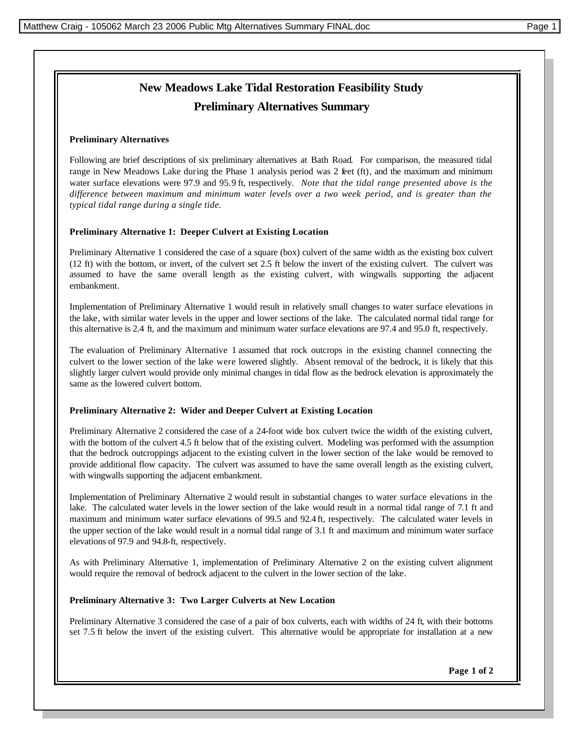# **New Meadows Lake Tidal Restoration Feasibility Study Preliminary Alternatives Summary**

## **Preliminary Alternatives**

Following are brief descriptions of six preliminary alternatives at Bath Road. For comparison, the measured tidal range in New Meadows Lake during the Phase 1 analysis period was 2 feet (ft), and the maximum and minimum water surface elevations were 97.9 and 95.9 ft, respectively. *Note that the tidal range presented above is the difference between maximum and minimum water levels over a two week period, and is greater than the typical tidal range during a single tide.*

## **Preliminary Alternative 1: Deeper Culvert at Existing Location**

Preliminary Alternative 1 considered the case of a square (box) culvert of the same width as the existing box culvert (12 ft) with the bottom, or invert, of the culvert set 2.5 ft below the invert of the existing culvert. The culvert was assumed to have the same overall length as the existing culvert, with wingwalls supporting the adjacent embankment.

Implementation of Preliminary Alternative 1 would result in relatively small changes to water surface elevations in the lake, with similar water levels in the upper and lower sections of the lake. The calculated normal tidal range for this alternative is 2.4 ft, and the maximum and minimum water surface elevations are 97.4 and 95.0 ft, respectively.

The evaluation of Preliminary Alternative 1 assumed that rock outcrops in the existing channel connecting the culvert to the lower section of the lake were lowered slightly. Absent removal of the bedrock, it is likely that this slightly larger culvert would provide only minimal changes in tidal flow as the bedrock elevation is approximately the same as the lowered culvert bottom.

## **Preliminary Alternative 2: Wider and Deeper Culvert at Existing Location**

Preliminary Alternative 2 considered the case of a 24-foot wide box culvert twice the width of the existing culvert, with the bottom of the culvert 4.5 ft below that of the existing culvert. Modeling was performed with the assumption that the bedrock outcroppings adjacent to the existing culvert in the lower section of the lake would be removed to provide additional flow capacity. The culvert was assumed to have the same overall length as the existing culvert, with wingwalls supporting the adjacent embankment.

Implementation of Preliminary Alternative 2 would result in substantial changes to water surface elevations in the lake. The calculated water levels in the lower section of the lake would result in a normal tidal range of 7.1 ft and maximum and minimum water surface elevations of 99.5 and 92.4 ft, respectively. The calculated water levels in the upper section of the lake would result in a normal tidal range of 3.1 ft and maximum and minimum water surface elevations of 97.9 and 94.8-ft, respectively.

As with Preliminary Alternative 1, implementation of Preliminary Alternative 2 on the existing culvert alignment would require the removal of bedrock adjacent to the culvert in the lower section of the lake.

## **Preliminary Alternative 3: Two Larger Culverts at New Location**

Preliminary Alternative 3 considered the case of a pair of box culverts, each with widths of 24 ft, with their bottoms set 7.5 ft below the invert of the existing culvert. This alternative would be appropriate for installation at a new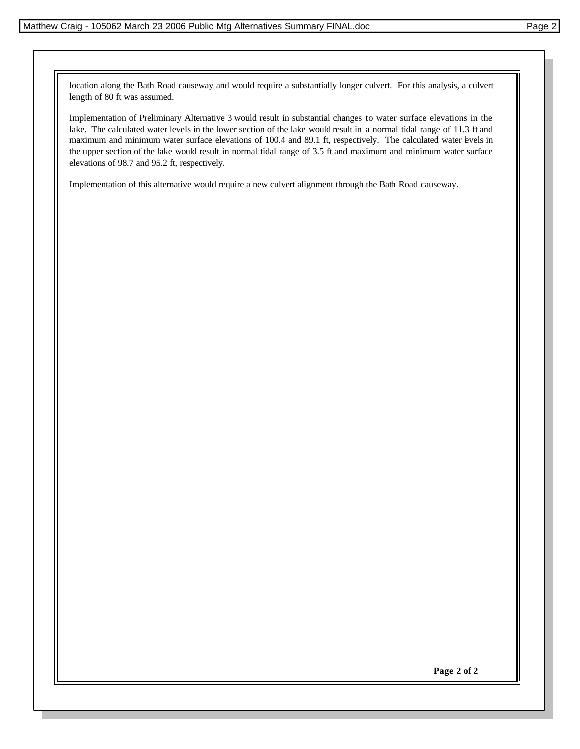location along the Bath Road causeway and would require a substantially longer culvert. For this analysis, a culvert length of 80 ft was assumed.

Implementation of Preliminary Alternative 3 would result in substantial changes to water surface elevations in the lake. The calculated water levels in the lower section of the lake would result in a normal tidal range of 11.3 ft and maximum and minimum water surface elevations of 100.4 and 89.1 ft, respectively. The calculated water evels in the upper section of the lake would result in normal tidal range of 3.5 ft and maximum and minimum water surface elevations of 98.7 and 95.2 ft, respectively.

Implementation of this alternative would require a new culvert alignment through the Bath Road causeway.

**Page 2 of 2**